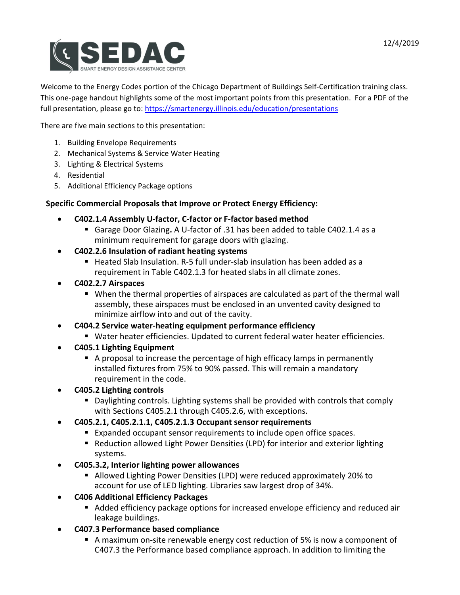

Welcome to the Energy Codes portion of the Chicago Department of Buildings Self-Certification training class. This one-page handout highlights some of the most important points from this presentation. For a PDF of the full presentation, please go to:<https://smartenergy.illinois.edu/education/presentations>

There are five main sections to this presentation:

- 1. Building Envelope Requirements
- 2. Mechanical Systems & Service Water Heating
- 3. Lighting & Electrical Systems
- 4. Residential
- 5. Additional Efficiency Package options

## **Specific Commercial Proposals that Improve or Protect Energy Efficiency:**

- **C402.1.4 Assembly U-factor, C-factor or F-factor based method**
	- Garage Door Glazing**.** A U-factor of .31 has been added to table C402.1.4 as a minimum requirement for garage doors with glazing.
- **C402.2.6 Insulation of radiant heating systems**
	- Heated Slab Insulation. R-5 full under-slab insulation has been added as a requirement in Table C402.1.3 for heated slabs in all climate zones.
- **C402.2.7 Airspaces**
	- When the thermal properties of airspaces are calculated as part of the thermal wall assembly, these airspaces must be enclosed in an unvented cavity designed to minimize airflow into and out of the cavity.
- **C404.2 Service water-heating equipment performance efficiency**
	- Water heater efficiencies. Updated to current federal water heater efficiencies.
- **C405.1 Lighting Equipment**
	- A proposal to increase the percentage of high efficacy lamps in permanently installed fixtures from 75% to 90% passed. This will remain a mandatory requirement in the code.
- **C405.2 Lighting controls**
	- Daylighting controls. Lighting systems shall be provided with controls that comply with Sections C405.2.1 through C405.2.6, with exceptions.
- **C405.2.1, C405.2.1.1, C405.2.1.3 Occupant sensor requirements**
	- Expanded occupant sensor requirements to include open office spaces.
	- Reduction allowed Light Power Densities (LPD) for interior and exterior lighting systems.
- **C405.3.2, Interior lighting power allowances**
	- Allowed Lighting Power Densities (LPD) were reduced approximately 20% to account for use of LED lighting. Libraries saw largest drop of 34%.
- **C406 Additional Efficiency Packages**
	- Added efficiency package options for increased envelope efficiency and reduced air leakage buildings.
- **C407.3 Performance based compliance**
	- A maximum on-site renewable energy cost reduction of 5% is now a component of C407.3 the Performance based compliance approach. In addition to limiting the